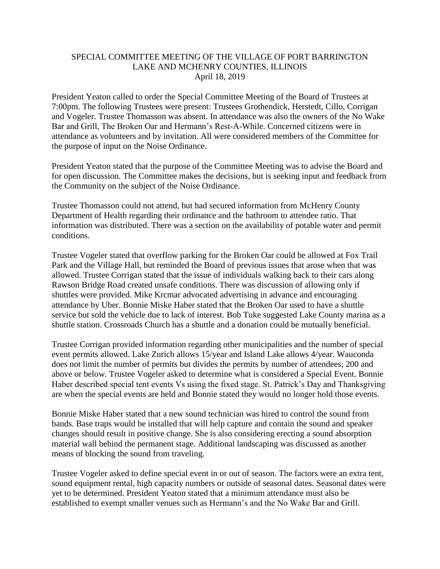## SPECIAL COMMITTEE MEETING OF THE VILLAGE OF PORT BARRINGTON LAKE AND MCHENRY COUNTIES, ILLINOIS April 18, 2019

President Yeaton called to order the Special Committee Meeting of the Board of Trustees at 7:00pm. The following Trustees were present: Trustees Grothendick, Herstedt, Cillo, Corrigan and Vogeler. Trustee Thomasson was absent. In attendance was also the owners of the No Wake Bar and Grill, The Broken Oar and Hermann's Rest-A-While. Concerned citizens were in attendance as volunteers and by invitation. All were considered members of the Committee for the purpose of input on the Noise Ordinance.

President Yeaton stated that the purpose of the Committee Meeting was to advise the Board and for open discussion. The Committee makes the decisions, but is seeking input and feedback from the Community on the subject of the Noise Ordinance.

Trustee Thomasson could not attend, but had secured information from McHenry County Department of Health regarding their ordinance and the bathroom to attendee ratio. That information was distributed. There was a section on the availability of potable water and permit conditions.

Trustee Vogeler stated that overflow parking for the Broken Oar could be allowed at Fox Trail Park and the Village Hall, but reminded the Board of previous issues that arose when that was allowed. Trustee Corrigan stated that the issue of individuals walking back to their cars along Rawson Bridge Road created unsafe conditions. There was discussion of allowing only if shuttles were provided. Mike Krcmar advocated advertising in advance and encouraging attendance by Uber. Bonnie Miske Haber stated that the Broken Oar used to have a shuttle service but sold the vehicle due to lack of interest. Bob Tuke suggested Lake County marina as a shuttle station. Crossroads Church has a shuttle and a donation could be mutually beneficial.

Trustee Corrigan provided information regarding other municipalities and the number of special event permits allowed. Lake Zurich allows 15/year and Island Lake allows 4/year. Wauconda does not limit the number of permits but divides the permits by number of attendees; 200 and above or below. Trustee Vogeler asked to determine what is considered a Special Event. Bonnie Haber described special tent events Vs using the fixed stage. St. Patrick's Day and Thanksgiving are when the special events are held and Bonnie stated they would no longer hold those events.

Bonnie Miske Haber stated that a new sound technician was hired to control the sound from bands. Base traps would be installed that will help capture and contain the sound and speaker changes should result in positive change. She is also considering erecting a sound absorption material wall behind the permanent stage. Additional landscaping was discussed as another means of blocking the sound from traveling.

Trustee Vogeler asked to define special event in or out of season. The factors were an extra tent, sound equipment rental, high capacity numbers or outside of seasonal dates. Seasonal dates were yet to be determined. President Yeaton stated that a minimum attendance must also be established to exempt smaller venues such as Hermann's and the No Wake Bar and Grill.